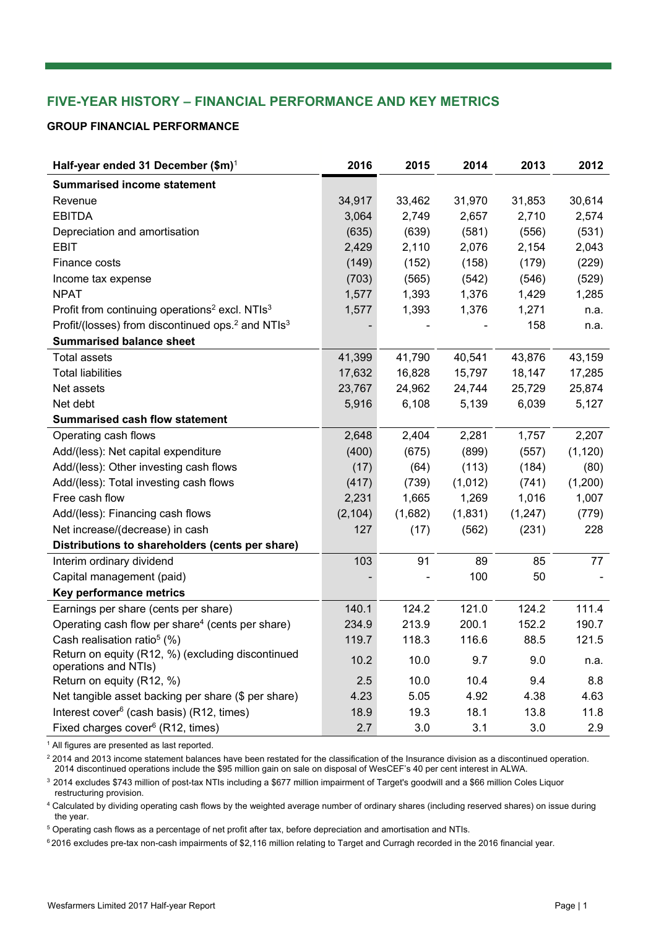# **FIVE-YEAR HISTORY – FINANCIAL PERFORMANCE AND KEY METRICS**

#### **GROUP FINANCIAL PERFORMANCE**

| Half-year ended 31 December $(\$m)^1$                                     | 2016     | 2015    | 2014    | 2013     | 2012     |
|---------------------------------------------------------------------------|----------|---------|---------|----------|----------|
| <b>Summarised income statement</b>                                        |          |         |         |          |          |
| Revenue                                                                   | 34,917   | 33,462  | 31,970  | 31,853   | 30,614   |
| <b>EBITDA</b>                                                             | 3,064    | 2,749   | 2,657   | 2,710    | 2,574    |
| Depreciation and amortisation                                             | (635)    | (639)   | (581)   | (556)    | (531)    |
| <b>EBIT</b>                                                               | 2,429    | 2,110   | 2,076   | 2,154    | 2,043    |
| Finance costs                                                             | (149)    | (152)   | (158)   | (179)    | (229)    |
| Income tax expense                                                        | (703)    | (565)   | (542)   | (546)    | (529)    |
| <b>NPAT</b>                                                               | 1,577    | 1,393   | 1,376   | 1,429    | 1,285    |
| Profit from continuing operations <sup>2</sup> excl. NTIs <sup>3</sup>    | 1,577    | 1,393   | 1,376   | 1,271    | n.a.     |
| Profit/(losses) from discontinued ops. <sup>2</sup> and NTIs <sup>3</sup> |          |         |         | 158      | n.a.     |
| <b>Summarised balance sheet</b>                                           |          |         |         |          |          |
| <b>Total assets</b>                                                       | 41,399   | 41,790  | 40,541  | 43,876   | 43,159   |
| <b>Total liabilities</b>                                                  | 17,632   | 16,828  | 15,797  | 18,147   | 17,285   |
| Net assets                                                                | 23,767   | 24,962  | 24,744  | 25,729   | 25,874   |
| Net debt                                                                  | 5,916    | 6,108   | 5,139   | 6,039    | 5,127    |
| <b>Summarised cash flow statement</b>                                     |          |         |         |          |          |
| Operating cash flows                                                      | 2,648    | 2,404   | 2,281   | 1,757    | 2,207    |
| Add/(less): Net capital expenditure                                       | (400)    | (675)   | (899)   | (557)    | (1, 120) |
| Add/(less): Other investing cash flows                                    | (17)     | (64)    | (113)   | (184)    | (80)     |
| Add/(less): Total investing cash flows                                    | (417)    | (739)   | (1,012) | (741)    | (1,200)  |
| Free cash flow                                                            | 2,231    | 1,665   | 1,269   | 1,016    | 1,007    |
| Add/(less): Financing cash flows                                          | (2, 104) | (1,682) | (1,831) | (1, 247) | (779)    |
| Net increase/(decrease) in cash                                           | 127      | (17)    | (562)   | (231)    | 228      |
| Distributions to shareholders (cents per share)                           |          |         |         |          |          |
| Interim ordinary dividend                                                 | 103      | 91      | 89      | 85       | 77       |
| Capital management (paid)                                                 |          |         | 100     | 50       |          |
| Key performance metrics                                                   |          |         |         |          |          |
| Earnings per share (cents per share)                                      | 140.1    | 124.2   | 121.0   | 124.2    | 111.4    |
| Operating cash flow per share <sup>4</sup> (cents per share)              | 234.9    | 213.9   | 200.1   | 152.2    | 190.7    |
| Cash realisation ratio <sup>5</sup> (%)                                   | 119.7    | 118.3   | 116.6   | 88.5     | 121.5    |
| Return on equity (R12, %) (excluding discontinued<br>operations and NTIs) | 10.2     | 10.0    | 9.7     | 9.0      | n.a.     |
| Return on equity (R12, %)                                                 | 2.5      | 10.0    | 10.4    | 9.4      | 8.8      |
| Net tangible asset backing per share (\$ per share)                       | 4.23     | 5.05    | 4.92    | 4.38     | 4.63     |
| Interest cover <sup>6</sup> (cash basis) (R12, times)                     | 18.9     | 19.3    | 18.1    | 13.8     | 11.8     |
| Fixed charges cover <sup>6</sup> (R12, times)                             | 2.7      | 3.0     | 3.1     | 3.0      | 2.9      |

<sup>1</sup> All figures are presented as last reported.

 $^2$  2014 and 2013 income statement balances have been restated for the classification of the Insurance division as a discontinued operation. 2014 discontinued operations include the \$95 million gain on sale on disposal of WesCEF's 40 per cent interest in ALWA.

<sup>3</sup> 2014 excludes \$743 million of post-tax NTIs including a \$677 million impairment of Target's goodwill and a \$66 million Coles Liquor restructuring provision.

<sup>4</sup> Calculated by dividing operating cash flows by the weighted average number of ordinary shares (including reserved shares) on issue during the year.

 $5$  Operating cash flows as a percentage of net profit after tax, before depreciation and amortisation and NTIs.

6 2016 excludes pre-tax non-cash impairments of \$2,116 million relating to Target and Curragh recorded in the 2016 financial year.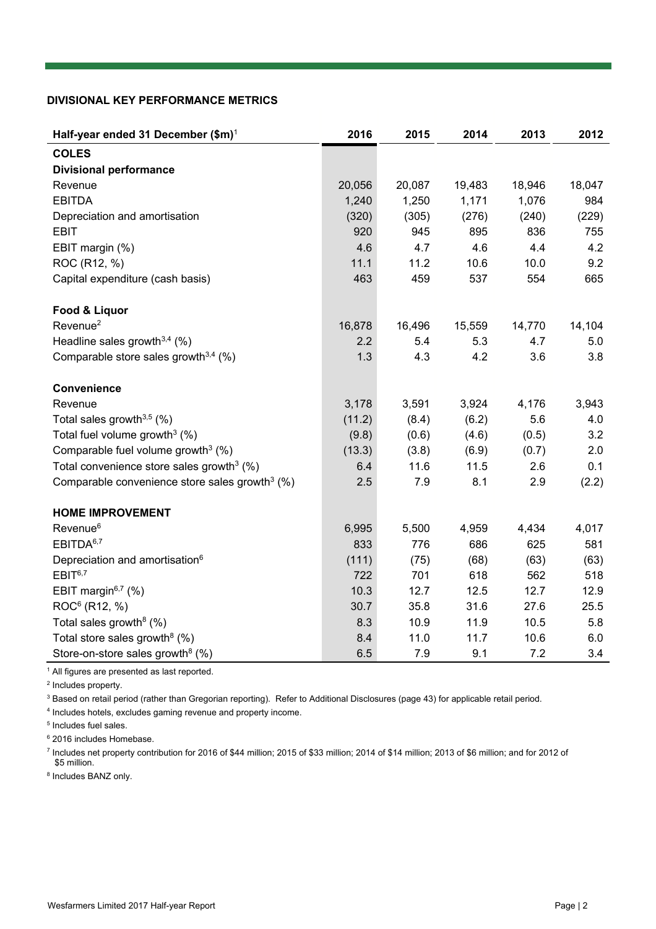#### **DIVISIONAL KEY PERFORMANCE METRICS**

| Half-year ended 31 December (\$m) <sup>1</sup>             | 2016   | 2015   | 2014   | 2013   | 2012   |
|------------------------------------------------------------|--------|--------|--------|--------|--------|
| <b>COLES</b>                                               |        |        |        |        |        |
| <b>Divisional performance</b>                              |        |        |        |        |        |
| Revenue                                                    | 20,056 | 20,087 | 19,483 | 18,946 | 18,047 |
| <b>EBITDA</b>                                              | 1,240  | 1,250  | 1,171  | 1,076  | 984    |
| Depreciation and amortisation                              | (320)  | (305)  | (276)  | (240)  | (229)  |
| <b>EBIT</b>                                                | 920    | 945    | 895    | 836    | 755    |
| EBIT margin (%)                                            | 4.6    | 4.7    | 4.6    | 4.4    | 4.2    |
| ROC (R12, %)                                               | 11.1   | 11.2   | 10.6   | 10.0   | 9.2    |
| Capital expenditure (cash basis)                           | 463    | 459    | 537    | 554    | 665    |
| Food & Liquor                                              |        |        |        |        |        |
| Revenue <sup>2</sup>                                       | 16,878 | 16,496 | 15,559 | 14,770 | 14,104 |
| Headline sales growth $3,4$ (%)                            | 2.2    | 5.4    | 5.3    | 4.7    | 5.0    |
| Comparable store sales growth $3,4$ (%)                    | 1.3    | 4.3    | 4.2    | 3.6    | 3.8    |
| Convenience                                                |        |        |        |        |        |
| Revenue                                                    | 3,178  | 3,591  | 3,924  | 4,176  | 3,943  |
| Total sales growth $3,5$ (%)                               | (11.2) | (8.4)  | (6.2)  | 5.6    | 4.0    |
| Total fuel volume growth <sup>3</sup> $(%)$                | (9.8)  | (0.6)  | (4.6)  | (0.5)  | 3.2    |
| Comparable fuel volume growth <sup>3</sup> $(%)$           | (13.3) | (3.8)  | (6.9)  | (0.7)  | 2.0    |
| Total convenience store sales growth <sup>3</sup> (%)      | 6.4    | 11.6   | 11.5   | 2.6    | 0.1    |
| Comparable convenience store sales growth <sup>3</sup> (%) | 2.5    | 7.9    | 8.1    | 2.9    | (2.2)  |
| <b>HOME IMPROVEMENT</b>                                    |        |        |        |        |        |
| Revenue <sup>6</sup>                                       | 6,995  | 5,500  | 4,959  | 4,434  | 4,017  |
| EBITDA <sup>6,7</sup>                                      | 833    | 776    | 686    | 625    | 581    |
| Depreciation and amortisation <sup>6</sup>                 | (111)  | (75)   | (68)   | (63)   | (63)   |
| EBIT <sup>6,7</sup>                                        | 722    | 701    | 618    | 562    | 518    |
| EBIT margin $6,7$ (%)                                      | 10.3   | 12.7   | 12.5   | 12.7   | 12.9   |
| ROC <sup>6</sup> (R12, %)                                  | 30.7   | 35.8   | 31.6   | 27.6   | 25.5   |
| Total sales growth <sup>8</sup> (%)                        | 8.3    | 10.9   | 11.9   | 10.5   | 5.8    |
| Total store sales growth <sup>8</sup> (%)                  | 8.4    | 11.0   | 11.7   | 10.6   | 6.0    |
| Store-on-store sales growth <sup>8</sup> $(%)$             | 6.5    | 7.9    | 9.1    | 7.2    | 3.4    |

<sup>1</sup> All figures are presented as last reported.

2 Includes property.

<sup>3</sup> Based on retail period (rather than Gregorian reporting). Refer to Additional Disclosures (page 43) for applicable retail period.

4 Includes hotels, excludes gaming revenue and property income.

5 Includes fuel sales.

6 2016 includes Homebase.

7 Includes net property contribution for 2016 of \$44 million; 2015 of \$33 million; 2014 of \$14 million; 2013 of \$6 million; and for 2012 of \$5 million.

<sup>8</sup> Includes BANZ only.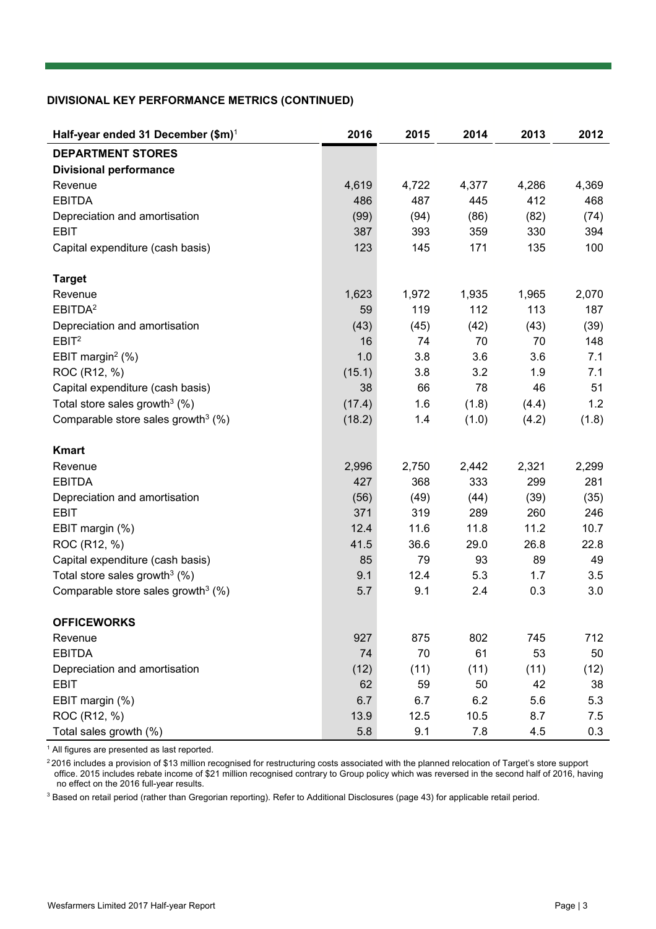#### **DIVISIONAL KEY PERFORMANCE METRICS (CONTINUED)**

| Half-year ended 31 December (\$m) <sup>1</sup>    | 2016   | 2015  | 2014  | 2013  | 2012  |
|---------------------------------------------------|--------|-------|-------|-------|-------|
| <b>DEPARTMENT STORES</b>                          |        |       |       |       |       |
| <b>Divisional performance</b>                     |        |       |       |       |       |
| Revenue                                           | 4,619  | 4,722 | 4,377 | 4,286 | 4,369 |
| <b>EBITDA</b>                                     | 486    | 487   | 445   | 412   | 468   |
| Depreciation and amortisation                     | (99)   | (94)  | (86)  | (82)  | (74)  |
| <b>EBIT</b>                                       | 387    | 393   | 359   | 330   | 394   |
| Capital expenditure (cash basis)                  | 123    | 145   | 171   | 135   | 100   |
| <b>Target</b>                                     |        |       |       |       |       |
| Revenue                                           | 1,623  | 1,972 | 1,935 | 1,965 | 2,070 |
| EBITDA <sup>2</sup>                               | 59     | 119   | 112   | 113   | 187   |
| Depreciation and amortisation                     | (43)   | (45)  | (42)  | (43)  | (39)  |
| EBIT <sup>2</sup>                                 | 16     | 74    | 70    | 70    | 148   |
| EBIT margin <sup>2</sup> $(\%)$                   | 1.0    | 3.8   | 3.6   | 3.6   | 7.1   |
| ROC (R12, %)                                      | (15.1) | 3.8   | 3.2   | 1.9   | 7.1   |
| Capital expenditure (cash basis)                  | 38     | 66    | 78    | 46    | 51    |
| Total store sales growth <sup>3</sup> $(%)$       | (17.4) | 1.6   | (1.8) | (4.4) | 1.2   |
| Comparable store sales growth <sup>3</sup> (%)    | (18.2) | 1.4   | (1.0) | (4.2) | (1.8) |
| <b>Kmart</b>                                      |        |       |       |       |       |
| Revenue                                           | 2,996  | 2,750 | 2,442 | 2,321 | 2,299 |
| <b>EBITDA</b>                                     | 427    | 368   | 333   | 299   | 281   |
| Depreciation and amortisation                     | (56)   | (49)  | (44)  | (39)  | (35)  |
| <b>EBIT</b>                                       | 371    | 319   | 289   | 260   | 246   |
| EBIT margin (%)                                   | 12.4   | 11.6  | 11.8  | 11.2  | 10.7  |
| ROC (R12, %)                                      | 41.5   | 36.6  | 29.0  | 26.8  | 22.8  |
| Capital expenditure (cash basis)                  | 85     | 79    | 93    | 89    | 49    |
| Total store sales growth <sup>3</sup> $(%)$       | 9.1    | 12.4  | 5.3   | 1.7   | 3.5   |
| Comparable store sales growth <sup>3</sup> $(\%)$ | 5.7    | 9.1   | 2.4   | 0.3   | 3.0   |
| <b>OFFICEWORKS</b>                                |        |       |       |       |       |
| Revenue                                           | 927    | 875   | 802   | 745   | 712   |
| <b>EBITDA</b>                                     | 74     | 70    | 61    | 53    | 50    |
| Depreciation and amortisation                     | (12)   | (11)  | (11)  | (11)  | (12)  |
| <b>EBIT</b>                                       | 62     | 59    | 50    | 42    | 38    |
| EBIT margin (%)                                   | 6.7    | 6.7   | 6.2   | 5.6   | 5.3   |
| ROC (R12, %)                                      | 13.9   | 12.5  | 10.5  | 8.7   | 7.5   |
| Total sales growth (%)                            | 5.8    | 9.1   | 7.8   | 4.5   | 0.3   |

<sup>1</sup> All figures are presented as last reported.

 $^2$ 2016 includes a provision of \$13 million recognised for restructuring costs associated with the planned relocation of Target's store support office. 2015 includes rebate income of \$21 million recognised contrary to Group policy which was reversed in the second half of 2016, having no effect on the 2016 full-year results.

<sup>3</sup> Based on retail period (rather than Gregorian reporting). Refer to Additional Disclosures (page 43) for applicable retail period.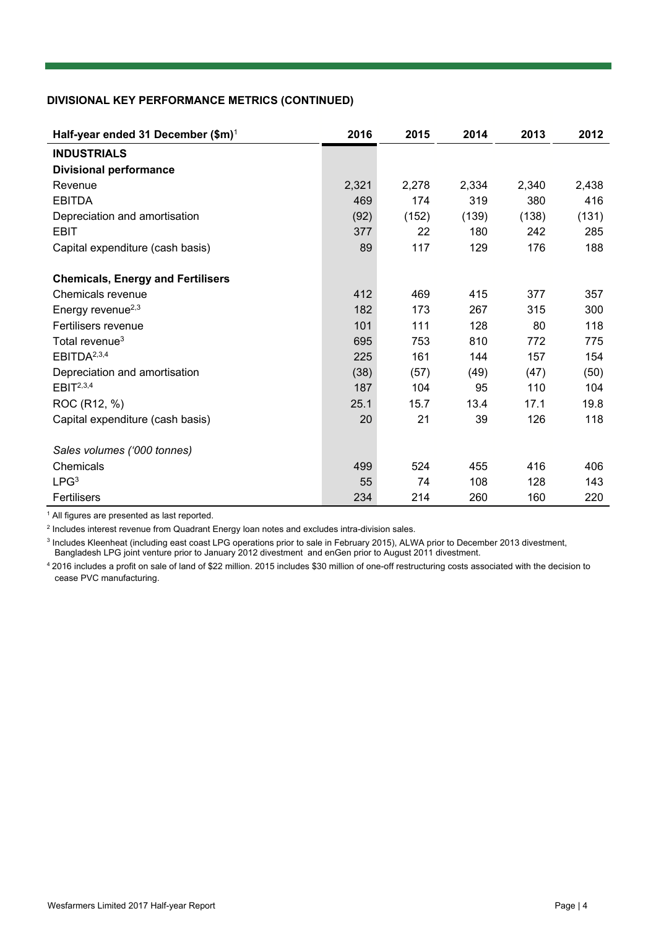### **DIVISIONAL KEY PERFORMANCE METRICS (CONTINUED)**

| Half-year ended 31 December (\$m) <sup>1</sup> | 2016  | 2015  | 2014  | 2013  | 2012  |
|------------------------------------------------|-------|-------|-------|-------|-------|
| <b>INDUSTRIALS</b>                             |       |       |       |       |       |
| <b>Divisional performance</b>                  |       |       |       |       |       |
| Revenue                                        | 2,321 | 2,278 | 2,334 | 2,340 | 2,438 |
| <b>EBITDA</b>                                  | 469   | 174   | 319   | 380   | 416   |
| Depreciation and amortisation                  | (92)  | (152) | (139) | (138) | (131) |
| <b>EBIT</b>                                    | 377   | 22    | 180   | 242   | 285   |
| Capital expenditure (cash basis)               | 89    | 117   | 129   | 176   | 188   |
| <b>Chemicals, Energy and Fertilisers</b>       |       |       |       |       |       |
| Chemicals revenue                              | 412   | 469   | 415   | 377   | 357   |
| Energy revenue <sup>2,3</sup>                  | 182   | 173   | 267   | 315   | 300   |
| Fertilisers revenue                            | 101   | 111   | 128   | 80    | 118   |
| Total revenue <sup>3</sup>                     | 695   | 753   | 810   | 772   | 775   |
| EBITDA <sup>2,3,4</sup>                        | 225   | 161   | 144   | 157   | 154   |
| Depreciation and amortisation                  | (38)  | (57)  | (49)  | (47)  | (50)  |
| EBIT <sup>2,3,4</sup>                          | 187   | 104   | 95    | 110   | 104   |
| ROC (R12, %)                                   | 25.1  | 15.7  | 13.4  | 17.1  | 19.8  |
| Capital expenditure (cash basis)               | 20    | 21    | 39    | 126   | 118   |
| Sales volumes ('000 tonnes)                    |       |       |       |       |       |
| Chemicals                                      | 499   | 524   | 455   | 416   | 406   |
| LPG <sup>3</sup>                               | 55    | 74    | 108   | 128   | 143   |
| Fertilisers                                    | 234   | 214   | 260   | 160   | 220   |

<sup>1</sup> All figures are presented as last reported.

2 Includes interest revenue from Quadrant Energy loan notes and excludes intra-division sales.

<sup>3</sup> Includes Kleenheat (including east coast LPG operations prior to sale in February 2015), ALWA prior to December 2013 divestment, Bangladesh LPG joint venture prior to January 2012 divestment and enGen prior to August 2011 divestment.

<sup>4</sup> 2016 includes a profit on sale of land of \$22 million. 2015 includes \$30 million of one-off restructuring costs associated with the decision to cease PVC manufacturing.